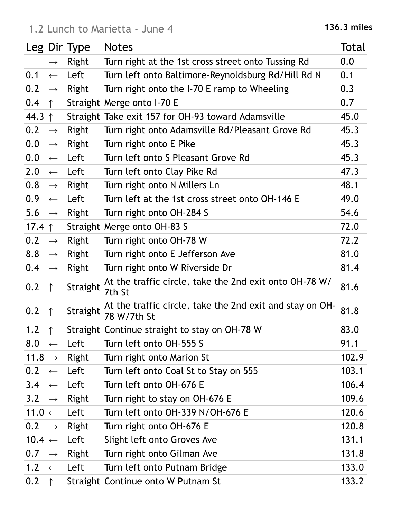|                    |                   | Leg Dir Type | <b>Notes</b>                                                            | Total |
|--------------------|-------------------|--------------|-------------------------------------------------------------------------|-------|
|                    | $\longrightarrow$ | <b>Right</b> | Turn right at the 1st cross street onto Tussing Rd                      | 0.0   |
| 0.1                | $\leftarrow$      | Left         | Turn left onto Baltimore-Reynoldsburg Rd/Hill Rd N                      | 0.1   |
| 0.2                | $\longrightarrow$ | Right        | Turn right onto the I-70 E ramp to Wheeling                             | 0.3   |
| 0.4                | $\uparrow$        |              | Straight Merge onto I-70 E                                              | 0.7   |
| 44.3 $\uparrow$    |                   |              | Straight Take exit 157 for OH-93 toward Adamsville                      | 45.0  |
| 0.2                | $\longrightarrow$ | Right        | Turn right onto Adamsville Rd/Pleasant Grove Rd                         | 45.3  |
| 0.0                | $\longrightarrow$ | Right        | Turn right onto E Pike                                                  | 45.3  |
| 0.0                | $\longleftarrow$  | Left         | Turn left onto S Pleasant Grove Rd                                      | 45.3  |
| 2.0                | $\longleftarrow$  | Left         | Turn left onto Clay Pike Rd                                             | 47.3  |
| 0.8                | $\longrightarrow$ | <b>Right</b> | Turn right onto N Millers Ln                                            | 48.1  |
| 0.9                | $\leftarrow$      | Left         | Turn left at the 1st cross street onto OH-146 E                         | 49.0  |
| 5.6                | $\longrightarrow$ | Right        | Turn right onto OH-284 S                                                | 54.6  |
| 17.4 $\uparrow$    |                   |              | Straight Merge onto OH-83 S                                             | 72.0  |
| 0.2                | $\longrightarrow$ | Right        | Turn right onto OH-78 W                                                 | 72.2  |
| 8.8                | $\longrightarrow$ | Right        | Turn right onto E Jefferson Ave                                         | 81.0  |
| 0.4                | $\longrightarrow$ | Right        | Turn right onto W Riverside Dr                                          | 81.4  |
| 0.2                | $\uparrow$        | Straight     | At the traffic circle, take the 2nd exit onto OH-78 W/<br>7th St        | 81.6  |
| 0.2                | $\uparrow$        | Straight     | At the traffic circle, take the 2nd exit and stay on OH-<br>78 W/7th St | 81.8  |
| 1.2                | $\uparrow$        |              | Straight Continue straight to stay on OH-78 W                           | 83.0  |
| 8.0                | $\leftarrow$      | Left         | Turn left onto OH-555 S                                                 | 91.1  |
| 11.8 $\rightarrow$ |                   | Right        | Turn right onto Marion St                                               | 102.9 |
| 0.2                | $\leftarrow$      | Left         | Turn left onto Coal St to Stay on 555                                   | 103.1 |
| $3.4 \leftarrow$   |                   | Left         | Turn left onto OH-676 E                                                 | 106.4 |
| $3.2 \rightarrow$  |                   | Right        | Turn right to stay on OH-676 E                                          | 109.6 |
| 11.0 $\leftarrow$  |                   | Left         | Turn left onto OH-339 N/OH-676 E                                        | 120.6 |
| $0.2 \rightarrow$  |                   | Right        | Turn right onto OH-676 E                                                | 120.8 |
| 10.4 $\leftarrow$  |                   | Left         | Slight left onto Groves Ave                                             | 131.1 |
| 0.7                | $\rightarrow$     | Right        | Turn right onto Gilman Ave                                              | 131.8 |
| 1.2                | $\leftarrow$      | Left         | Turn left onto Putnam Bridge                                            | 133.0 |
| 0.2                | $\uparrow$        |              | Straight Continue onto W Putnam St                                      | 133.2 |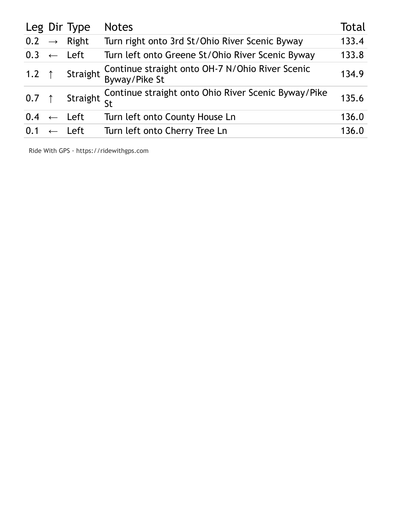|                       | Leg Dir Type            | <b>Notes</b>                                                     | Total |
|-----------------------|-------------------------|------------------------------------------------------------------|-------|
|                       | $0.2 \rightarrow$ Right | Turn right onto 3rd St/Ohio River Scenic Byway                   | 133.4 |
| $0.3 \leftarrow$ Left |                         | Turn left onto Greene St/Ohio River Scenic Byway                 | 133.8 |
| 1.2 $\uparrow$        | Straight                | Continue straight onto OH-7 N/Ohio River Scenic<br>Byway/Pike St | 134.9 |
| $0.7$ ↑               |                         | Straight Continue straight onto Ohio River Scenic Byway/Pike     | 135.6 |
| 0.4                   | $\leftarrow$ Left       | Turn left onto County House Ln                                   | 136.0 |
| $0.1 \leftarrow$ Left |                         | Turn left onto Cherry Tree Ln                                    | 136.0 |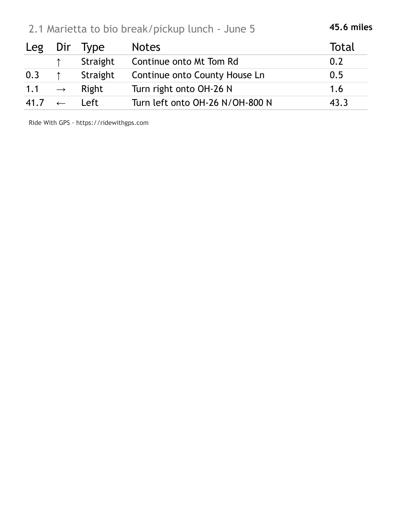| 2.1 Marietta to bio break/pickup lunch - June 5 | 45.6 miles |
|-------------------------------------------------|------------|
|-------------------------------------------------|------------|

| Leg  |               | Dir Type | <b>Notes</b>                    | Total |
|------|---------------|----------|---------------------------------|-------|
|      |               | Straight | Continue onto Mt Tom Rd         | 0.2   |
| 0.3  |               | Straight | Continue onto County House Ln   | 0.5   |
| 1.1  | $\rightarrow$ | Right    | Turn right onto OH-26 N         | 1.6   |
| 41.7 | $\leftarrow$  | Left     | Turn left onto OH-26 N/OH-800 N | 43.3  |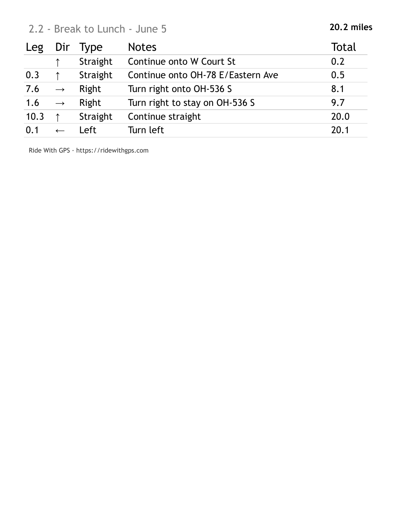## 2.2 - Break to Lunch - June 5 **20.2 miles**

| Leg  | Dir               | <b>Type</b> | <b>Notes</b>                      | Total |
|------|-------------------|-------------|-----------------------------------|-------|
|      |                   | Straight    | Continue onto W Court St          | 0.2   |
| 0.3  |                   | Straight    | Continue onto OH-78 E/Eastern Ave | 0.5   |
| 7.6  | $\longrightarrow$ | Right       | Turn right onto OH-536 S          | 8.1   |
| 1.6  | $\longrightarrow$ | Right       | Turn right to stay on OH-536 S    | 9.7   |
| 10.3 |                   | Straight    | Continue straight                 | 20.0  |
| 0.1  |                   | Left        | Turn left                         | 20.1  |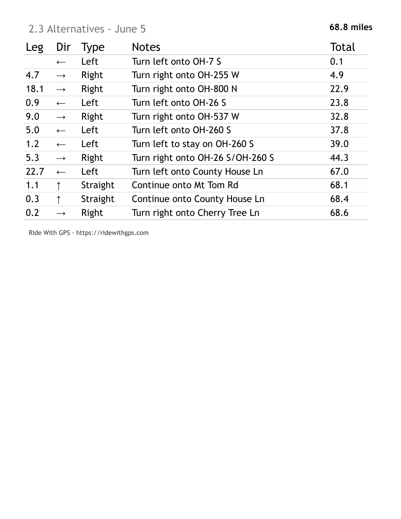### 2 **68.8 miles** .3 Alternatives - June 5

| Leg  | Dir               | Type     | <b>Notes</b>                     | <b>Total</b> |
|------|-------------------|----------|----------------------------------|--------------|
|      | $\leftarrow$      | Left     | Turn left onto OH-7 S            | 0.1          |
| 4.7  | $\longrightarrow$ | Right    | Turn right onto OH-255 W         | 4.9          |
| 18.1 | $\rightarrow$     | Right    | Turn right onto OH-800 N         | 22.9         |
| 0.9  | $\leftarrow$      | Left     | Turn left onto OH-26 S           | 23.8         |
| 9.0  | $\longrightarrow$ | Right    | Turn right onto OH-537 W         | 32.8         |
| 5.0  | $\leftarrow$      | Left     | Turn left onto OH-260 S          | 37.8         |
| 1.2  | $\leftarrow$      | Left     | Turn left to stay on OH-260 S    | 39.0         |
| 5.3  | $\longrightarrow$ | Right    | Turn right onto OH-26 S/OH-260 S | 44.3         |
| 22.7 | $\leftarrow$      | Left     | Turn left onto County House Ln   | 67.0         |
| 1.1  |                   | Straight | Continue onto Mt Tom Rd          | 68.1         |
| 0.3  |                   | Straight | Continue onto County House Ln    | 68.4         |
| 0.2  | $\rightarrow$     | Right    | Turn right onto Cherry Tree Ln   | 68.6         |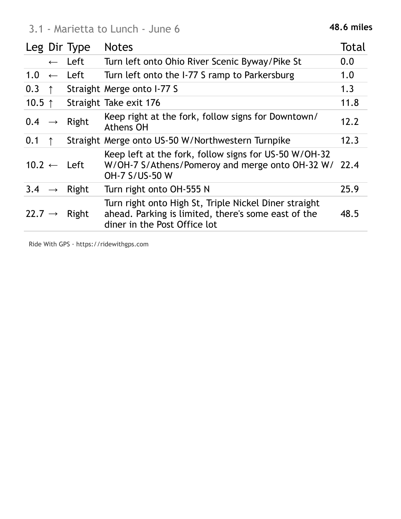|                    |              | Leg Dir Type           | <b>Notes</b>                                                                                                                                 | Total |
|--------------------|--------------|------------------------|----------------------------------------------------------------------------------------------------------------------------------------------|-------|
|                    | $\leftarrow$ | Left                   | Turn left onto Ohio River Scenic Byway/Pike St                                                                                               | 0.0   |
|                    |              | $1.0 \leftarrow$ Left  | Turn left onto the I-77 S ramp to Parkersburg                                                                                                | 1.0   |
| 0.3                | $\uparrow$   |                        | Straight Merge onto I-77 S                                                                                                                   | 1.3   |
| 10.5 $\uparrow$    |              |                        | Straight Take exit 176                                                                                                                       | 11.8  |
| $0.4 \rightarrow$  |              | Right                  | Keep right at the fork, follow signs for Downtown/<br>Athens OH                                                                              | 12.2  |
| 0.1                |              |                        | Straight Merge onto US-50 W/Northwestern Turnpike                                                                                            | 12.3  |
|                    |              | $10.2 \leftarrow$ Left | Keep left at the fork, follow signs for US-50 W/OH-32<br>W/OH-7 S/Athens/Pomeroy and merge onto OH-32 W/<br>OH-7 S/US-50 W                   | 22.4  |
| $3.4 \rightarrow$  |              | Right                  | Turn right onto OH-555 N                                                                                                                     | 25.9  |
| 22.7 $\rightarrow$ |              | Right                  | Turn right onto High St, Triple Nickel Diner straight<br>ahead. Parking is limited, there's some east of the<br>diner in the Post Office lot | 48.5  |